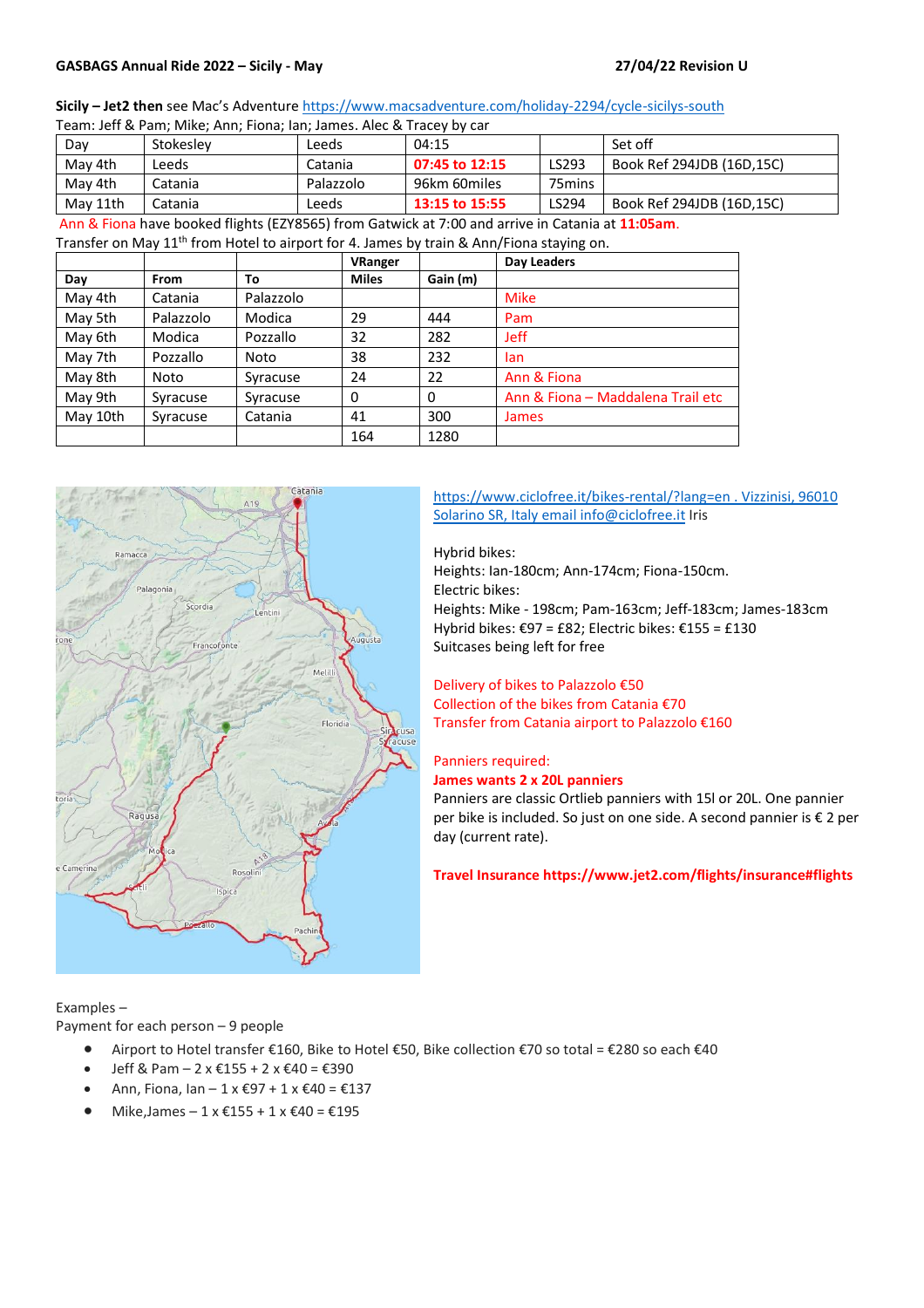## **GASBAGS Annual Ride 2022 – Sicily - May 27/04/22 Revision U**

#### **Sicily – Jet2 then** see Mac's Adventure <https://www.macsadventure.com/holiday-2294/cycle-sicilys-south>

| Team: Jeff & Pam; Mike; Ann; Fiona; Ian; James. Alec & Tracey by car |           |           |                |                    |                           |  |  |  |  |
|----------------------------------------------------------------------|-----------|-----------|----------------|--------------------|---------------------------|--|--|--|--|
| Dav                                                                  | Stokeslev | Leeds     | 04:15          |                    | Set off                   |  |  |  |  |
| May 4th                                                              | Leeds     | Catania   | 07:45 to 12:15 | LS293              | Book Ref 294JDB (16D.15C) |  |  |  |  |
| May 4th                                                              | Catania   | Palazzolo | 96km 60miles   | 75 <sub>mins</sub> |                           |  |  |  |  |
| May 11th                                                             | Catania   | Leeds     | 13:15 to 15:55 | LS294              | Book Ref 294JDB (16D,15C) |  |  |  |  |

Ann & Fiona have booked flights (EZY8565) from Gatwick at 7:00 and arrive in Catania at **11:05am**.

Transfer on May 11<sup>th</sup> from Hotel to airport for 4. James by train & Ann/Fiona staying on.

|          |             |           | <b>VRanger</b> |          | Day Leaders                       |
|----------|-------------|-----------|----------------|----------|-----------------------------------|
| Day      | <b>From</b> | To        | <b>Miles</b>   | Gain (m) |                                   |
| May 4th  | Catania     | Palazzolo |                |          | <b>Mike</b>                       |
| May 5th  | Palazzolo   | Modica    | 29             | 444      | Pam                               |
| May 6th  | Modica      | Pozzallo  | 32             | 282      | <b>Jeff</b>                       |
| May 7th  | Pozzallo    | Noto      | 38             | 232      | lan                               |
| May 8th  | Noto        | Syracuse  | 24             | 22       | Ann & Fiona                       |
| May 9th  | Syracuse    | Syracuse  | 0              | 0        | Ann & Fiona - Maddalena Trail etc |
| May 10th | Syracuse    | Catania   | 41             | 300      | <b>James</b>                      |
|          |             |           | 164            | 1280     |                                   |



#### <https://www.ciclofree.it/bikes-rental/?lang=en> . Vizzinisi, 96010 Solarino SR, Italy emai[l info@ciclofree.it](mailto:info@ciclofree.it) Iris

Hybrid bikes: Heights: Ian-180cm; Ann-174cm; Fiona-150cm. Electric bikes: Heights: Mike - 198cm; Pam-163cm; Jeff-183cm; James-183cm Hybrid bikes: €97 = £82; Electric bikes: €155 = £130 Suitcases being left for free

# Delivery of bikes to Palazzolo €50 Collection of the bikes from Catania €70 Transfer from Catania airport to Palazzolo €160

#### Panniers required:

#### **James wants 2 x 20L panniers**

Panniers are classic Ortlieb panniers with 15l or 20L. One pannier per bike is included. So just on one side. A second pannier is € 2 per day (current rate).

**Travel Insurance https://www.jet2.com/flights/insurance#flights**

Examples –

Payment for each person – 9 people

- Airport to Hotel transfer €160, Bike to Hotel €50, Bike collection €70 so total = €280 so each €40
- Jeff & Pam  $-2 \times \text{\textsterling}155 + 2 \times \text{\textsterling}40 = \text{\textsterling}390$
- Ann, Fiona, Ian 1 x €97 + 1 x €40 = €137
- Mike, James  $1 \times \text{\textsterling}155 + 1 \times \text{\textsterling}40 = \text{\textsterling}195$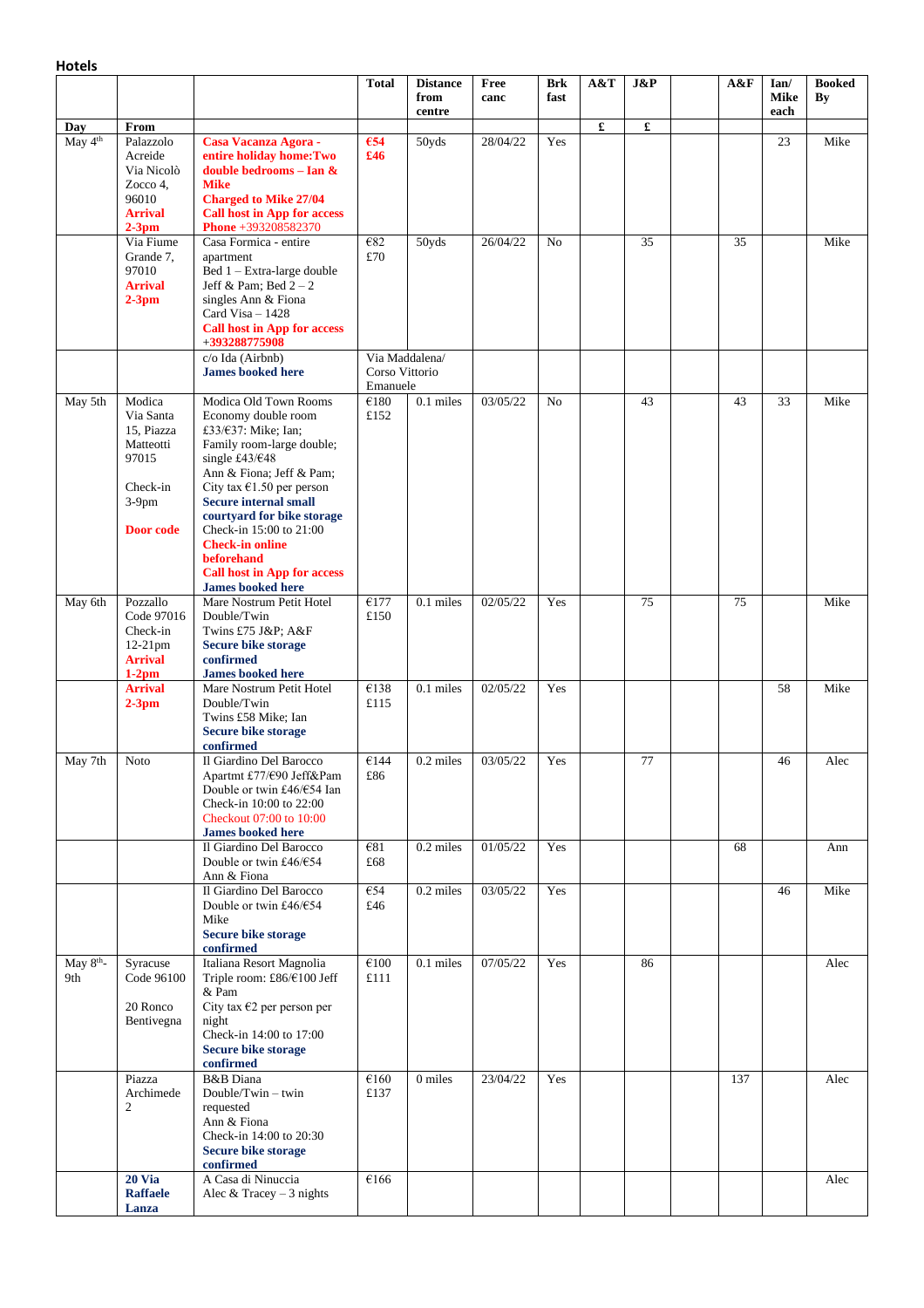|                              |                                                                                              |                                                                                                                                                                                                                                                                                                                                                                                             | <b>Total</b>                      | <b>Distance</b><br>from<br>centre | Free<br>canc | Brk<br>fast    | A&T                  | J&P | A&F | Ian/<br><b>Mike</b><br>each | <b>Booked</b><br>By |
|------------------------------|----------------------------------------------------------------------------------------------|---------------------------------------------------------------------------------------------------------------------------------------------------------------------------------------------------------------------------------------------------------------------------------------------------------------------------------------------------------------------------------------------|-----------------------------------|-----------------------------------|--------------|----------------|----------------------|-----|-----|-----------------------------|---------------------|
| Day<br>May 4 <sup>th</sup>   | From<br>Palazzolo<br>Acreide<br>Via Nicolò<br>Zocco 4,<br>96010<br><b>Arrival</b><br>$2-3pm$ | Casa Vacanza Agora -<br>entire holiday home: Two<br>double bedrooms - Ian &<br><b>Mike</b><br><b>Charged to Mike 27/04</b><br><b>Call host in App for access</b><br>Phone +393208582370                                                                                                                                                                                                     | €54<br>£46                        | 50yds                             | 28/04/22     | Yes            | $\pmb{\mathfrak{L}}$ | £   |     | 23                          | Mike                |
|                              | Via Fiume<br>Grande 7,<br>97010<br><b>Arrival</b><br>$2-3pm$                                 | Casa Formica - entire<br>apartment<br>Bed 1 - Extra-large double<br>Jeff & Pam; Bed $2-2$<br>singles Ann & Fiona<br>Card Visa $-1428$<br><b>Call host in App for access</b><br>+393288775908                                                                                                                                                                                                | €82<br>£70                        | 50yds                             | 26/04/22     | N <sub>o</sub> |                      | 35  | 35  |                             | Mike                |
|                              |                                                                                              | c/o Ida (Airbnb)<br><b>James booked here</b>                                                                                                                                                                                                                                                                                                                                                | Corso Vittorio<br>Emanuele        | Via Maddalena/                    |              |                |                      |     |     |                             |                     |
| May 5th                      | Modica<br>Via Santa<br>15, Piazza<br>Matteotti<br>97015<br>Check-in<br>$3-9$ pm<br>Door code | Modica Old Town Rooms<br>Economy double room<br>£33/ $\epsilon$ 37: Mike; Ian;<br>Family room-large double;<br>single £43/€48<br>Ann & Fiona; Jeff & Pam;<br>City tax $€1.50$ per person<br><b>Secure internal small</b><br>courtyard for bike storage<br>Check-in 15:00 to 21:00<br><b>Check-in online</b><br>beforehand<br><b>Call host in App for access</b><br><b>James booked here</b> | $\overline{\epsilon}$ 180<br>£152 | 0.1 miles                         | 03/05/22     | N <sub>o</sub> |                      | 43  | 43  | 33                          | Mike                |
| May 6th                      | Pozzallo<br>Code 97016<br>Check-in<br>$12-21$ pm<br><b>Arrival</b><br>$1-2$ pm               | Mare Nostrum Petit Hotel<br>Double/Twin<br>Twins £75 J&P A&F<br><b>Secure bike storage</b><br>confirmed<br><b>James booked here</b>                                                                                                                                                                                                                                                         | €177<br>£150                      | 0.1 miles                         | 02/05/22     | Yes            |                      | 75  | 75  |                             | Mike                |
|                              | <b>Arrival</b><br>$2-3pm$                                                                    | Mare Nostrum Petit Hotel<br>Double/Twin<br>Twins £58 Mike; Ian<br><b>Secure bike storage</b><br>confirmed                                                                                                                                                                                                                                                                                   | €138<br>£115                      | 0.1 miles                         | 02/05/22     | Yes            |                      |     |     | 58                          | Mike                |
| May 7th                      | <b>Noto</b>                                                                                  | Il Giardino Del Barocco<br>Apartmt £77/€90 Jeff&Pam<br>Double or twin £46/€54 Ian<br>Check-in 10:00 to 22:00<br>Checkout 07:00 to 10:00<br><b>James booked here</b>                                                                                                                                                                                                                         | €144<br>£86                       | 0.2 miles                         | 03/05/22     | Yes            |                      | 77  |     | 46                          | Alec                |
|                              |                                                                                              | Il Giardino Del Barocco<br>Double or twin £46/ $€54$<br>Ann & Fiona                                                                                                                                                                                                                                                                                                                         | €81<br>£68                        | 0.2 miles                         | 01/05/22     | Yes            |                      |     | 68  |                             | Ann                 |
|                              |                                                                                              | Il Giardino Del Barocco<br>Double or twin £46/ $€54$<br>Mike<br><b>Secure bike storage</b><br>confirmed                                                                                                                                                                                                                                                                                     | €54<br>£46                        | 0.2 miles                         | 03/05/22     | Yes            |                      |     |     | 46                          | Mike                |
| May 8 <sup>th</sup> -<br>9th | Syracuse<br>Code 96100<br>20 Ronco<br>Bentivegna                                             | Italiana Resort Magnolia<br>Triple room: £86/€100 Jeff<br>& Pam<br>City tax $\epsilon$ 2 per person per<br>night<br>Check-in 14:00 to 17:00<br><b>Secure bike storage</b><br>confirmed                                                                                                                                                                                                      | €100<br>£111                      | 0.1 miles                         | 07/05/22     | Yes            |                      | 86  |     |                             | Alec                |
|                              | Piazza<br>Archimede<br>2                                                                     | <b>B&amp;B</b> Diana<br>Double/Twin $-$ twin<br>requested<br>Ann & Fiona<br>Check-in 14:00 to 20:30<br><b>Secure bike storage</b><br>confirmed                                                                                                                                                                                                                                              | €160<br>£137                      | 0 miles                           | 23/04/22     | Yes            |                      |     | 137 |                             | Alec                |
|                              | <b>20 Via</b><br><b>Raffaele</b><br>Lanza                                                    | A Casa di Ninuccia<br>Alec & Tracey $-3$ nights                                                                                                                                                                                                                                                                                                                                             | €166                              |                                   |              |                |                      |     |     |                             | Alec                |

**Hotels**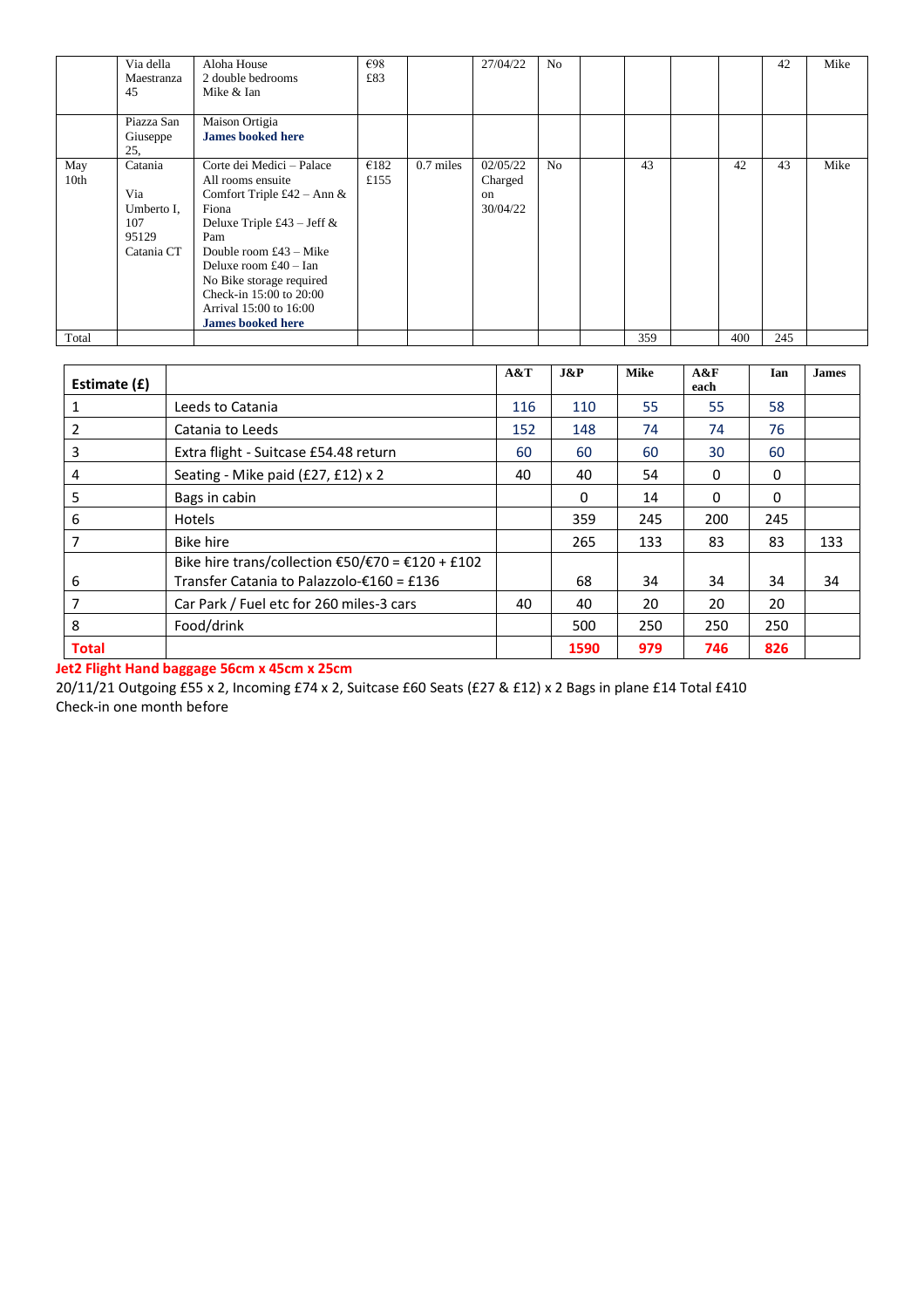|                         | Via della<br>Maestranza<br>45                              | Aloha House<br>2 double bedrooms<br>Mike & Ian                                                                                                                                                                                                                                                    | €98<br>£83   |             | 27/04/22                                         | N <sub>0</sub> |     |     | 42  | Mike |
|-------------------------|------------------------------------------------------------|---------------------------------------------------------------------------------------------------------------------------------------------------------------------------------------------------------------------------------------------------------------------------------------------------|--------------|-------------|--------------------------------------------------|----------------|-----|-----|-----|------|
|                         | Piazza San<br>Giuseppe<br>25.                              | Maison Ortigia<br><b>James booked here</b>                                                                                                                                                                                                                                                        |              |             |                                                  |                |     |     |     |      |
| May<br>10 <sub>th</sub> | Catania<br>Via<br>Umberto I,<br>107<br>95129<br>Catania CT | Corte dei Medici – Palace<br>All rooms ensuite<br>Comfort Triple £42 – Ann &<br>Fiona<br>Deluxe Triple £43 – Jeff $\&$<br>Pam<br>Double room $£43 - Mike$<br>Deluxe room $£40 - Ian$<br>No Bike storage required<br>Check-in 15:00 to 20:00<br>Arrival 15:00 to 16:00<br><b>James booked here</b> | €182<br>£155 | $0.7$ miles | 02/05/22<br>Charged<br><sub>on</sub><br>30/04/22 | N <sub>0</sub> | 43  | 42  | 43  | Mike |
| Total                   |                                                            |                                                                                                                                                                                                                                                                                                   |              |             |                                                  |                | 359 | 400 | 245 |      |

| Estimate (£) |                                                                                               | A&T | $J\&P$ | <b>Mike</b> | A&F<br>each | Ian          | <b>James</b> |
|--------------|-----------------------------------------------------------------------------------------------|-----|--------|-------------|-------------|--------------|--------------|
|              | Leeds to Catania                                                                              | 116 | 110    | 55          | 55          | 58           |              |
|              | Catania to Leeds                                                                              | 152 | 148    | 74          | 74          | 76           |              |
| 3            | Extra flight - Suitcase £54.48 return                                                         | 60  | 60     | 60          | 30          | 60           |              |
| 4            | Seating - Mike paid (£27, £12) x 2                                                            | 40  | 40     | 54          | 0           | $\Omega$     |              |
| 5            | Bags in cabin                                                                                 |     | 0      | 14          | 0           | $\mathbf{0}$ |              |
| 6            | <b>Hotels</b>                                                                                 |     | 359    | 245         | 200         | 245          |              |
|              | Bike hire                                                                                     |     | 265    | 133         | 83          | 83           | 133          |
| 6            | Bike hire trans/collection €50/€70 = €120 + £102<br>Transfer Catania to Palazzolo-€160 = £136 |     | 68     | 34          | 34          | 34           | 34           |
| 7            | Car Park / Fuel etc for 260 miles-3 cars                                                      | 40  | 40     | 20          | 20          | 20           |              |
| 8            | Food/drink                                                                                    |     | 500    | 250         | 250         | 250          |              |
| <b>Total</b> |                                                                                               |     | 1590   | 979         | 746         | 826          |              |

**Jet2 Flight Hand baggage 56cm x 45cm x 25cm**

20/11/21 Outgoing £55 x 2, Incoming £74 x 2, Suitcase £60 Seats (£27 & £12) x 2 Bags in plane £14 Total £410 Check-in one month before